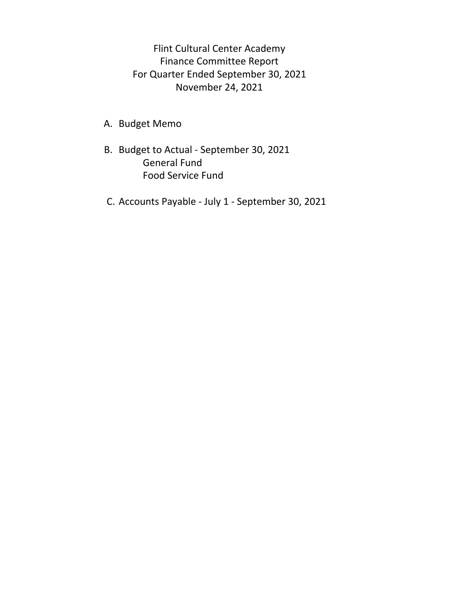Flint Cultural Center Academy Finance Committee Report For Quarter Ended September 30, 2021 November 24, 2021

- A. Budget Memo
- B. Budget to Actual ‐ September 30, 2021 General Fund Food Service Fund
- C. Accounts Payable ‐ July 1 ‐ September 30, 2021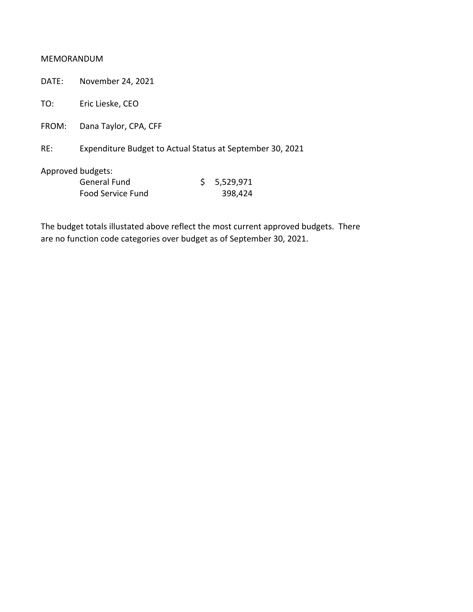#### MEMORANDUM

DATE: November 24, 2021

TO: Eric Lieske, CEO

FROM: Dana Taylor, CPA, CFF

RE: Expenditure Budget to Actual Status at September 30, 2021

Approved budgets:

| General Fund      | \$5,529,971 |
|-------------------|-------------|
| Food Service Fund | 398,424     |

The budget totals illustated above reflect the most current approved budgets. There are no function code categories over budget as of September 30, 2021.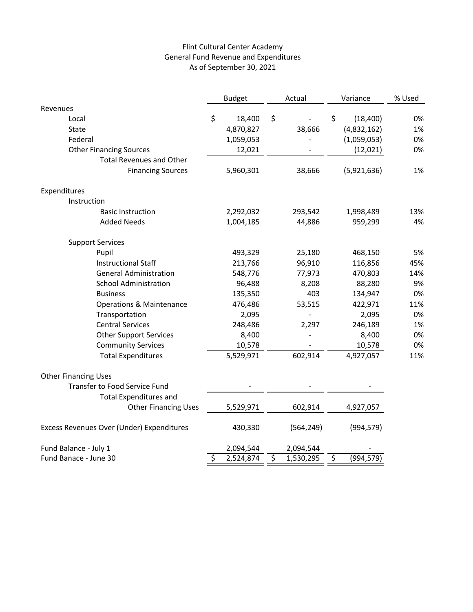### Flint Cultural Center Academy General Fund Revenue and Expenditures As of September 30, 2021

|                                           | <b>Budget</b> |           | Actual |            | Variance               |             | % Used |
|-------------------------------------------|---------------|-----------|--------|------------|------------------------|-------------|--------|
| Revenues                                  |               |           |        |            |                        |             |        |
| Local                                     | \$            | 18,400    | \$     |            | \$                     | (18, 400)   | 0%     |
| State                                     |               | 4,870,827 |        | 38,666     |                        | (4,832,162) | 1%     |
| Federal                                   |               | 1,059,053 |        |            |                        | (1,059,053) | 0%     |
| <b>Other Financing Sources</b>            |               | 12,021    |        |            |                        | (12,021)    | 0%     |
| <b>Total Revenues and Other</b>           |               |           |        |            |                        |             |        |
| <b>Financing Sources</b>                  |               | 5,960,301 |        | 38,666     |                        | (5,921,636) | 1%     |
| Expenditures                              |               |           |        |            |                        |             |        |
| Instruction                               |               |           |        |            |                        |             |        |
| <b>Basic Instruction</b>                  |               | 2,292,032 |        | 293,542    |                        | 1,998,489   | 13%    |
| <b>Added Needs</b>                        |               | 1,004,185 |        | 44,886     |                        | 959,299     | 4%     |
| <b>Support Services</b>                   |               |           |        |            |                        |             |        |
| Pupil                                     |               | 493,329   |        | 25,180     |                        | 468,150     | 5%     |
| <b>Instructional Staff</b>                |               | 213,766   |        | 96,910     |                        | 116,856     | 45%    |
| <b>General Administration</b>             |               | 548,776   |        | 77,973     |                        | 470,803     | 14%    |
| <b>School Administration</b>              |               | 96,488    |        | 8,208      |                        | 88,280      | 9%     |
| <b>Business</b>                           |               | 135,350   |        | 403        |                        | 134,947     | 0%     |
| <b>Operations &amp; Maintenance</b>       |               | 476,486   |        | 53,515     |                        | 422,971     | 11%    |
| Transportation                            |               | 2,095     |        |            |                        | 2,095       | 0%     |
| <b>Central Services</b>                   |               | 248,486   |        | 2,297      |                        | 246,189     | 1%     |
| <b>Other Support Services</b>             |               | 8,400     |        |            |                        | 8,400       | 0%     |
| <b>Community Services</b>                 |               | 10,578    |        |            |                        | 10,578      | 0%     |
| <b>Total Expenditures</b>                 |               | 5,529,971 |        | 602,914    |                        | 4,927,057   | 11%    |
| <b>Other Financing Uses</b>               |               |           |        |            |                        |             |        |
| <b>Transfer to Food Service Fund</b>      |               |           |        |            |                        |             |        |
| <b>Total Expenditures and</b>             |               |           |        |            |                        |             |        |
| <b>Other Financing Uses</b>               |               | 5,529,971 |        | 602,914    |                        | 4,927,057   |        |
| Excess Revenues Over (Under) Expenditures |               | 430,330   |        | (564, 249) |                        | (994, 579)  |        |
| Fund Balance - July 1                     |               | 2,094,544 |        | 2,094,544  |                        |             |        |
| Fund Banace - June 30                     | \$            | 2,524,874 | \$     | 1,530,295  | $\overline{\varsigma}$ | (994, 579)  |        |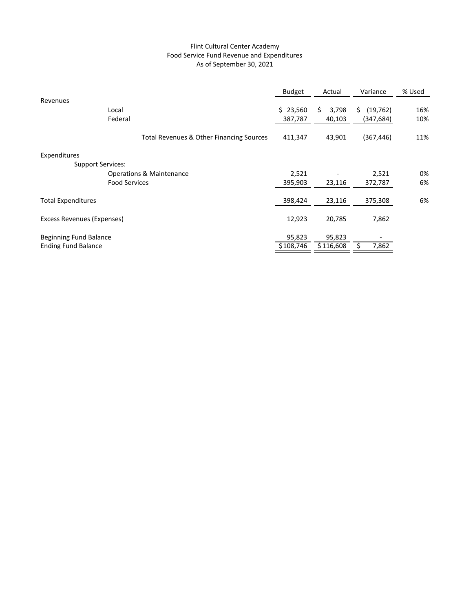#### Flint Cultural Center Academy Food Service Fund Revenue and Expenditures As of September 30, 2021

|                               |                                          | <b>Budget</b> | Actual      | Variance        | % Used |
|-------------------------------|------------------------------------------|---------------|-------------|-----------------|--------|
| Revenues                      |                                          |               |             |                 |        |
| Local                         |                                          | \$23,560      | \$<br>3,798 | (19, 762)<br>S. | 16%    |
| Federal                       |                                          | 387,787       | 40,103      | (347, 684)      | 10%    |
|                               | Total Revenues & Other Financing Sources | 411,347       | 43,901      | (367, 446)      | 11%    |
| Expenditures                  |                                          |               |             |                 |        |
| <b>Support Services:</b>      |                                          |               |             |                 |        |
|                               | <b>Operations &amp; Maintenance</b>      | 2,521         |             | 2,521           | 0%     |
|                               | <b>Food Services</b>                     | 395,903       | 23,116      | 372,787         | 6%     |
| <b>Total Expenditures</b>     |                                          | 398,424       | 23,116      | 375,308         | 6%     |
| Excess Revenues (Expenses)    |                                          | 12,923        | 20,785      | 7,862           |        |
| <b>Beginning Fund Balance</b> |                                          | 95,823        | 95,823      |                 |        |
| <b>Ending Fund Balance</b>    |                                          | \$108,746     | \$116,608   | 7,862           |        |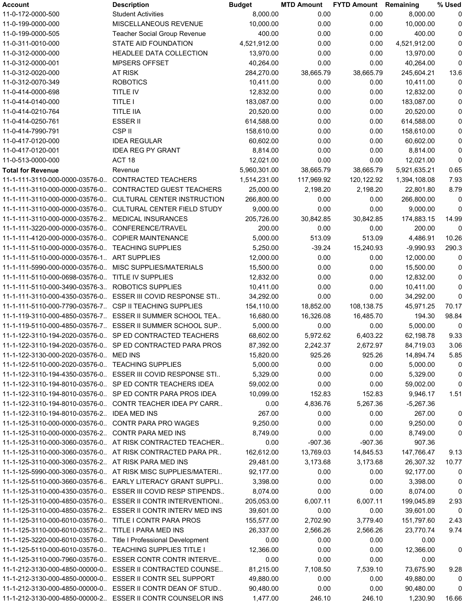| Account                                                          | <b>Description</b>                                            | <b>Budget</b> | <b>MTD Amount</b> | <b>FYTD Amount</b> Remaining |              | % Used      |
|------------------------------------------------------------------|---------------------------------------------------------------|---------------|-------------------|------------------------------|--------------|-------------|
| 11-0-172-0000-500                                                | <b>Student Activities</b>                                     | 8,000.00      | 0.00              | 0.00                         | 8,000.00     | 0           |
| 11-0-199-0000-000                                                | MISCELLANEOUS REVENUE                                         | 10,000.00     | 0.00              | 0.00                         | 10,000.00    | 0           |
| 11-0-199-0000-505                                                | <b>Teacher Social Group Revenue</b>                           | 400.00        | 0.00              | 0.00                         | 400.00       | 0           |
| 11-0-311-0010-000                                                | STATE AID FOUNDATION                                          | 4,521,912.00  | 0.00              | 0.00                         | 4,521,912.00 | 0           |
| 11-0-312-0000-000                                                | <b>HEADLEE DATA COLLECTION</b>                                | 13,970.00     | 0.00              | 0.00                         | 13,970.00    | $\mathbf 0$ |
| 11-0-312-0000-001                                                | <b>MPSERS OFFSET</b>                                          | 40,264.00     | 0.00              | 0.00                         | 40,264.00    | $\mathbf 0$ |
| 11-0-312-0020-000                                                | <b>AT RISK</b>                                                | 284,270.00    | 38,665.79         | 38,665.79                    | 245,604.21   | 13.6        |
| 11-0-312-0070-349                                                | <b>ROBOTICS</b>                                               | 10,411.00     | 0.00              | 0.00                         | 10,411.00    | 0           |
| 11-0-414-0000-698                                                | <b>TITLE IV</b>                                               | 12,832.00     | 0.00              | 0.00                         | 12,832.00    | 0           |
| 11-0-414-0140-000                                                | <b>TITLE I</b>                                                | 183,087.00    | 0.00              | 0.00                         | 183,087.00   | 0           |
| 11-0-414-0210-764                                                | <b>TITLE IIA</b>                                              | 20,520.00     | 0.00              | 0.00                         | 20,520.00    | $\pmb{0}$   |
| 11-0-414-0250-761                                                | <b>ESSER II</b>                                               |               | 0.00              | 0.00                         |              | 0           |
|                                                                  |                                                               | 614,588.00    |                   |                              | 614,588.00   |             |
| 11-0-414-7990-791                                                | CSP II                                                        | 158,610.00    | 0.00              | 0.00                         | 158,610.00   | 0           |
| 11-0-417-0120-000                                                | <b>IDEA REGULAR</b>                                           | 60,602.00     | 0.00              | 0.00                         | 60,602.00    | 0           |
| 11-0-417-0120-001                                                | <b>IDEA REG PY GRANT</b>                                      | 8,814.00      | 0.00              | 0.00                         | 8,814.00     | 0           |
| 11-0-513-0000-000                                                | ACT <sub>18</sub>                                             | 12,021.00     | 0.00              | 0.00                         | 12,021.00    | $\mathbf 0$ |
| <b>Total for Revenue</b>                                         | Revenue                                                       | 5,960,301.00  | 38,665.79         | 38,665.79                    | 5,921,635.21 | 0.65        |
| 11-1-111-3110-000-0000-03576-0                                   | <b>CONTRACTED TEACHERS</b>                                    | 1,514,231.00  | 117,969.92        | 120,122.92                   | 1,394,108.08 | 7.93        |
|                                                                  | 11-1-111-3110-000-0000-03576-0 CONTRACTED GUEST TEACHERS      | 25,000.00     | 2,198.20          | 2,198.20                     | 22,801.80    | 8.79        |
|                                                                  | 11-1-111-3110-000-0000-03576-0 CULTURAL CENTER INSTRUCTION    | 266,800.00    | 0.00              | 0.00                         | 266,800.00   | 0           |
| 11-1-111-3110-000-0000-03576-0                                   | CULTURAL CENTER FIELD STUDY                                   | 9,000.00      | 0.00              | 0.00                         | 9,000.00     | 0           |
| 11-1-111-3110-000-0000-03576-2                                   | <b>MEDICAL INSURANCES</b>                                     | 205,726.00    | 30,842.85         | 30,842.85                    | 174,883.15   | 14.99       |
| 11-1-111-3220-000-0000-03576-0                                   | CONFERENCE/TRAVEL                                             | 200.00        | 0.00              | 0.00                         | 200.00       | 0           |
| 11-1-111-4120-000-0000-03576-0 COPIER MAINTENANCE                |                                                               | 5,000.00      | 513.09            | 513.09                       | 4,486.91     | 10.26       |
| 11-1-111-5110-000-0000-03576-0 TEACHING SUPPLIES                 |                                                               | 5,250.00      | $-39.24$          | 15,240.93                    | $-9,990.93$  | 290.3       |
| 11-1-111-5110-000-0000-03576-1. ART SUPPLIES                     |                                                               | 12,000.00     | 0.00              | 0.00                         | 12,000.00    | 0           |
| 11-1-111-5990-000-0000-03576-0                                   | <b>MISC SUPPLIES/MATERIALS</b>                                | 15,500.00     | 0.00              | 0.00                         | 15,500.00    | 0           |
| 11-1-111-5110-000-0698-03576-0 TITLE IV SUPPLIES                 |                                                               | 12,832.00     | 0.00              | 0.00                         | 12,832.00    | 0           |
| 11-1-111-5110-000-3490-03576-3 ROBOTICS SUPPLIES                 |                                                               | 10,411.00     | 0.00              | 0.00                         | 10,411.00    | 0           |
|                                                                  | 11-1-111-3110-000-4350-03576-0. ESSER III COVID RESPONSE STI  | 34,292.00     | 0.00              | 0.00                         | 34,292.00    | $\mathbf 0$ |
| 11-1-111-5110-000-7790-03576-7. CSP II TEACHING SUPPLIES         |                                                               | 154,110.00    | 18,852.00         | 108,138.75                   | 45,971.25    | 70.17       |
|                                                                  | 11-1-119-3110-000-4850-03576-7. ESSER II SUMMER SCHOOL TEA    | 16,680.00     | 16,326.08         | 16,485.70                    | 194.30       | 98.84       |
|                                                                  | 11-1-119-5110-000-4850-03576-7. ESSER II SUMMER SCHOOL SUP    | 5,000.00      | 0.00              | 0.00                         | 5,000.00     | 0           |
|                                                                  | 11-1-122-3110-194-2020-03576-0. SP ED CONTRACTED TEACHERS     | 68,602.00     | 5,972.62          | 6,403.22                     | 62,198.78    | 9.33        |
|                                                                  | 11-1-122-3110-194-2020-03576-0. SP ED CONTRACTED PARA PROS    | 87,392.00     | 2,242.37          | 2,672.97                     | 84,719.03    | 3.06        |
|                                                                  |                                                               |               |                   |                              |              |             |
| 11-1-122-3130-000-2020-03576-0 MED INS                           |                                                               | 15,820.00     | 925.26            | 925.26                       | 14,894.74    | 5.85        |
| 11-1-122-5110-000-2020-03576-0. TEACHING SUPPLIES                |                                                               | 5,000.00      | 0.00              | 0.00                         | 5,000.00     | 0           |
|                                                                  | 11-1-122-3110-194-4350-03576-0. ESSER III COVID RESPONSE STI  | 5,329.00      | 0.00              | 0.00                         | 5,329.00     | 0           |
| 11-1-122-3110-194-8010-03576-0. SP ED CONTR TEACHERS IDEA        |                                                               | 59,002.00     | 0.00              | 0.00                         | 59,002.00    | 0           |
|                                                                  | 11-1-122-3110-194-8010-03576-0. SP ED CONTR PARA PROS IDEA    | 10,099.00     | 152.83            | 152.83                       | 9,946.17     | 1.51        |
|                                                                  | 11-1-122-3110-194-8010-03576-0. CONTR TEACHER IDEA PY CARR    | 0.00          | 4,836.76          | 5,267.36                     | $-5,267.36$  |             |
| 11-1-122-3110-194-8010-03576-2 IDEA MED INS                      |                                                               | 267.00        | 0.00              | 0.00                         | 267.00       | 0           |
| 11-1-125-3110-000-0000-03576-0 CONTR PARA PRO WAGES              |                                                               | 9,250.00      | 0.00              | 0.00                         | 9,250.00     | 0           |
| 11-1-125-3110-000-0000-03576-2 CONTR PARA MED INS                |                                                               | 8,749.00      | 0.00              | 0.00                         | 8,749.00     | 0           |
|                                                                  | 11-1-125-3110-000-3060-03576-0. AT RISK CONTRACTED TEACHER    | 0.00          | $-907.36$         | $-907.36$                    | 907.36       |             |
|                                                                  | 11-1-125-3110-000-3060-03576-0. AT RISK CONTRACTED PARA PR    | 162,612.00    | 13,769.03         | 14,845.53                    | 147,766.47   | 9.13        |
| 11-1-125-3110-000-3060-03576-2 AT RISK PARA MED INS              |                                                               | 29,481.00     | 3,173.68          | 3,173.68                     | 26,307.32    | 10.77       |
|                                                                  | 11-1-125-5990-000-3060-03576-0. AT RISK MISC SUPPLIES/MATERI  | 92,177.00     | 0.00              | 0.00                         | 92,177.00    | 0           |
|                                                                  | 11-1-125-5110-000-3660-03576-6 EARLY LITERACY GRANT SUPPLI    | 3,398.00      | 0.00              | 0.00                         | 3,398.00     | 0           |
|                                                                  | 11-1-125-3110-000-4350-03576-0. ESSER III COVID RESP STIPENDS | 8,074.00      | 0.00              | 0.00                         | 8,074.00     | 0           |
|                                                                  | 11-1-125-3110-000-4850-03576-0 ESSER II CONTR INTERVENTIONI   | 205,053.00    | 6,007.11          | 6,007.11                     | 199,045.89   | 2.93        |
|                                                                  | 11-1-125-3110-000-4850-03576-2 ESSER II CONTR INTERV MED INS  | 39,601.00     | 0.00              | 0.00                         | 39,601.00    | 0           |
| 11-1-125-3110-000-6010-03576-0 TITLE I CONTR PARA PROS           |                                                               | 155,577.00    | 2,702.90          | 3,779.40                     | 151,797.60   | 2.43        |
| 11-1-125-3110-000-6010-03576-2 TITLE I PARA MED INS              |                                                               | 26,337.00     | 2,566.26          | 2,566.26                     | 23,770.74    | 9.74        |
| 11-1-125-3220-000-6010-03576-0. Title I Professional Development |                                                               | 0.00          | 0.00              | 0.00                         | 0.00         |             |
| 11-1-125-5110-000-6010-03576-0 TEACHING SUPPLIES TITLE I         |                                                               | 12,366.00     | 0.00              | 0.00                         | 12,366.00    | 0           |
|                                                                  | 11-1-125-3110-000-7960-03576-0. ESSER CONTR CONTR INTERVE     | 0.00          | 0.00              | 0.00                         | 0.00         |             |
|                                                                  | 11-1-212-3130-000-4850-00000-0. ESSER II CONTRACTED COUNSE    | 81,215.00     | 7,108.50          | 7,539.10                     | 73,675.90    | 9.28        |
| 11-1-212-3130-000-4850-00000-0. ESSER II CONTR SEL SUPPORT       |                                                               | 49,880.00     | 0.00              | 0.00                         | 49,880.00    | 0           |
|                                                                  | 11-1-212-3130-000-4850-00000-0. ESSER II CONTR DEAN OF STUD.  |               |                   | 0.00                         |              |             |
|                                                                  |                                                               | 90,480.00     | 0.00              |                              | 90,480.00    | 0           |
|                                                                  | 11-1-212-3130-000-4850-00000-2. ESSER II CONTR COUNSELOR INS  | 1,477.00      | 246.10            | 246.10                       | 1,230.90     | 16.66       |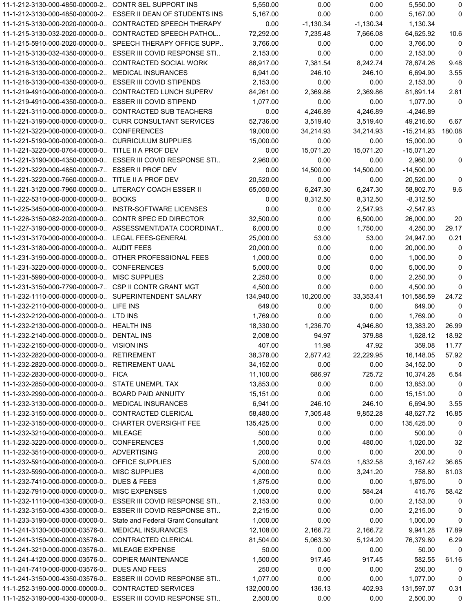| 11-1-212-3130-000-4850-00000-2 CONTR SEL SUPPORT INS     |                                                                    | 5,550.00   | 0.00        | 0.00        | 5,550.00     | 0           |
|----------------------------------------------------------|--------------------------------------------------------------------|------------|-------------|-------------|--------------|-------------|
|                                                          | 11-1-212-3130-000-4850-00000-2. ESSER II DEAN OF STUDENTS INS      | 5,167.00   | 0.00        | 0.00        | 5,167.00     | 0           |
|                                                          | 11-1-215-3130-000-2020-00000-0. CONTRACTED SPEECH THERAPY          | 0.00       | $-1,130.34$ | $-1,130.34$ | 1,130.34     |             |
|                                                          | 11-1-215-3130-032-2020-00000-0. CONTRACTED SPEECH PATHOL           | 72,292.00  | 7,235.48    | 7,666.08    | 64,625.92    | 10.6        |
|                                                          | 11-1-215-5910-000-2020-00000-0. SPEECH THERAPY OFFICE SUPP         | 3,766.00   | 0.00        | 0.00        | 3,766.00     | 0           |
|                                                          | 11-1-215-3130-032-4350-00000-0. ESSER III COVID RESPONSE STI       | 2,153.00   | 0.00        | 0.00        | 2,153.00     | 0           |
| 11-1-216-3130-000-0000-00000-0. CONTRACTED SOCIAL WORK   |                                                                    | 86,917.00  | 7,381.54    | 8,242.74    | 78,674.26    | 9.48        |
| 11-1-216-3130-000-0000-00000-2                           | <b>MEDICAL INSURANCES</b>                                          | 6,941.00   | 246.10      | 246.10      | 6,694.90     | 3.55        |
| 11-1-216-3130-000-4350-00000-0 ESSER III COVID STIPENDS  |                                                                    | 2,153.00   | 0.00        | 0.00        | 2,153.00     | 0           |
| 11-1-219-4910-000-0000-00000-0. CONTRACTED LUNCH SUPERV  |                                                                    | 84,261.00  | 2,369.86    | 2,369.86    | 81,891.14    | 2.81        |
| 11-1-219-4910-000-4350-00000-0. ESSER III COVID STIPEND  |                                                                    | 1,077.00   | 0.00        | 0.00        | 1,077.00     | $\Omega$    |
|                                                          |                                                                    |            |             |             |              |             |
| 11-1-221-3110-000-0000-00000-0. CONTRACTED SUB TEACHERS  |                                                                    | 0.00       | 4,246.89    | 4,246.89    | $-4,246.89$  |             |
| 11-1-221-3190-000-0000-00000-0. CURR CONSULTANT SERVICES |                                                                    | 52,736.00  | 3,519.40    | 3,519.40    | 49,216.60    | 6.67        |
| 11-1-221-3220-000-0000-00000-0 CONFERENCES               |                                                                    | 19,000.00  | 34,214.93   | 34,214.93   | $-15,214.93$ | 180.08      |
| 11-1-221-5190-000-0000-00000-0 CURRICULUM SUPPLIES       |                                                                    | 15,000.00  | 0.00        | 0.00        | 15,000.00    | 0           |
| 11-1-221-3220-000-0764-00000-0. TITLE II A PROF DEV      |                                                                    | 0.00       | 15,071.20   | 15,071.20   | $-15,071.20$ |             |
|                                                          | 11-1-221-3190-000-4350-00000-0. ESSER III COVID RESPONSE STI       | 2,960.00   | 0.00        | 0.00        | 2,960.00     | 0           |
| 11-1-221-3220-000-4850-00000-7. ESSER II PROF DEV        |                                                                    | 0.00       | 14,500.00   | 14,500.00   | $-14,500.00$ |             |
| 11-1-221-3220-000-7660-00000-0. TITLE II A PROF DEV      |                                                                    | 20,520.00  | 0.00        | 0.00        | 20,520.00    | 0           |
| 11-1-221-3120-000-7960-00000-0 LITERACY COACH ESSER II   |                                                                    | 65,050.00  | 6,247.30    | 6,247.30    | 58,802.70    | 9.6         |
| 11-1-222-5310-000-0000-00000-0 BOOKS                     |                                                                    | 0.00       | 8,312.50    | 8,312.50    | $-8,312.50$  |             |
| 11-1-225-3450-000-0000-00000-0 INSTR-SOFTWARE LICENSES   |                                                                    | 0.00       | 0.00        | 2,547.93    | $-2,547.93$  |             |
| 11-1-226-3150-082-2020-00000-0. CONTR SPEC ED DIRECTOR   |                                                                    | 32,500.00  | 0.00        | 6,500.00    | 26,000.00    | 20          |
|                                                          | 11-1-227-3190-000-0000-00000-0. ASSESSMENT/DATA COORDINAT          | 6,000.00   | 0.00        | 1,750.00    | 4,250.00     | 29.17       |
| 11-1-231-3170-000-0000-00000-0 LEGAL FEES-GENERAL        |                                                                    | 25,000.00  | 53.00       | 53.00       | 24,947.00    | 0.21        |
| 11-1-231-3180-000-0000-00000-0 AUDIT FEES                |                                                                    | 20,000.00  | 0.00        | 0.00        | 20,000.00    | 0           |
| 11-1-231-3190-000-0000-00000-0. OTHER PROFESSIONAL FEES  |                                                                    | 1,000.00   | 0.00        | 0.00        | 1,000.00     | 0           |
| 11-1-231-3220-000-0000-00000-0 CONFERENCES               |                                                                    | 5,000.00   | 0.00        | 0.00        | 5,000.00     | 0           |
| 11-1-231-5990-000-0000-00000-0 MISC SUPPLIES             |                                                                    | 2,250.00   | 0.00        | 0.00        | 2,250.00     | $\mathbf 0$ |
| 11-1-231-3150-000-7790-00000-7. CSP II CONTR GRANT MGT   |                                                                    | 4,500.00   | 0.00        | 0.00        | 4,500.00     | 0           |
| 11-1-232-1110-000-0000-00000-0 SUPERINTENDENT SALARY     |                                                                    |            |             |             |              | 24.72       |
|                                                          |                                                                    | 134,940.00 | 10,200.00   | 33,353.41   | 101,586.59   |             |
| 11-1-232-2110-000-0000-00000-0 LIFE INS                  |                                                                    | 649.00     | 0.00        | 0.00        | 649.00       | 0           |
| 11-1-232-2120-000-0000-00000-0 LTD INS                   |                                                                    | 1,769.00   | 0.00        | 0.00        | 1,769.00     | 0           |
| 11-1-232-2130-000-0000-00000-0 HEALTH INS                |                                                                    | 18,330.00  | 1,236.70    | 4,946.80    | 13,383.20    | 26.99       |
| 11-1-232-2140-000-0000-00000-0 DENTAL INS                |                                                                    | 2,008.00   | 94.97       | 379.88      | 1,628.12     | 18.92       |
| 11-1-232-2150-000-0000-00000-0 VISION INS                |                                                                    | 407.00     | 11.98       | 47.92       | 359.08       | 11.77       |
| 11-1-232-2820-000-0000-00000-0 RETIREMENT                |                                                                    | 38,378.00  | 2,877.42    | 22,229.95   | 16,148.05    | 57.92       |
| 11-1-232-2820-000-0000-00000-0 RETIREMENT UAAL           |                                                                    | 34,152.00  | 0.00        | 0.00        | 34,152.00    | 0           |
| 11-1-232-2830-000-0000-00000-0 FICA                      |                                                                    | 11,100.00  | 686.97      | 725.72      | 10,374.28    | 6.54        |
| 11-1-232-2850-000-0000-00000-0. STATE UNEMPL TAX         |                                                                    | 13,853.00  | 0.00        | 0.00        | 13,853.00    | 0           |
| 11-1-232-2990-000-0000-00000-0. BOARD PAID ANNUITY       |                                                                    | 15,151.00  | 0.00        | 0.00        | 15,151.00    | 0           |
| 11-1-232-3130-000-0000-00000-0 MEDICAL INSURANCES        |                                                                    | 6,941.00   | 246.10      | 246.10      | 6,694.90     | 3.55        |
| 11-1-232-3150-000-0000-00000-0. CONTRACTED CLERICAL      |                                                                    | 58,480.00  | 7,305.48    | 9,852.28    | 48,627.72    | 16.85       |
| 11-1-232-3150-000-0000-00000-0 CHARTER OVERSIGHT FEE     |                                                                    | 135,425.00 | 0.00        | 0.00        | 135,425.00   | 0           |
| 11-1-232-3210-000-0000-00000-0 MILEAGE                   |                                                                    | 500.00     | 0.00        | 0.00        | 500.00       | 0           |
| 11-1-232-3220-000-0000-00000-0 CONFERENCES               |                                                                    | 1,500.00   | 0.00        | 480.00      | 1,020.00     | 32          |
| 11-1-232-3510-000-0000-00000-0 ADVERTISING               |                                                                    | 200.00     | 0.00        | 0.00        | 200.00       | 0           |
| 11-1-232-5910-000-0000-00000-0 OFFICE SUPPLIES           |                                                                    | 5,000.00   | 574.03      | 1,832.58    | 3,167.42     | 36.65       |
| 11-1-232-5990-000-0000-00000-0 MISC SUPPLIES             |                                                                    | 4,000.00   | 0.00        | 3,241.20    | 758.80       | 81.03       |
| 11-1-232-7410-000-0000-00000-0. DUES & FEES              |                                                                    | 1,875.00   | 0.00        | 0.00        | 1,875.00     | 0           |
| 11-1-232-7910-000-0000-00000-0 MISC EXPENSES             |                                                                    | 1,000.00   | 0.00        | 584.24      | 415.76       | 58.42       |
|                                                          | 11-1-232-1110-000-4350-00000-0. ESSER III COVID RESPONSE STI       | 2,153.00   | 0.00        | 0.00        | 2,153.00     | 0           |
|                                                          | 11-1-232-3150-000-4350-00000-0. ESSER III COVID RESPONSE STI       | 2,215.00   | 0.00        | 0.00        | 2,215.00     | 0           |
|                                                          | 11-1-233-3190-000-0000-00000-0. State and Federal Grant Consultant | 1,000.00   | 0.00        | 0.00        | 1,000.00     | 0           |
| 11-1-241-3130-000-0000-03576-0 MEDICAL INSURANCES        |                                                                    | 12,108.00  | 2,166.72    | 2,166.72    | 9,941.28     | 17.89       |
| 11-1-241-3150-000-0000-03576-0 CONTRACTED CLERICAL       |                                                                    |            |             |             |              |             |
|                                                          |                                                                    | 81,504.00  | 5,063.30    | 5,124.20    | 76,379.80    | 6.29        |
| 11-1-241-3210-000-0000-03576-0 MILEAGE EXPENSE           |                                                                    | 50.00      | 0.00        | 0.00        | 50.00        | 0           |
| 11-1-241-4120-000-0000-03576-0 COPIER MAINTENANCE        |                                                                    | 1,500.00   | 917.45      | 917.45      | 582.55       | 61.16       |
| 11-1-241-7410-000-0000-03576-0 DUES AND FEES             |                                                                    | 250.00     | 0.00        | 0.00        | 250.00       | 0           |
|                                                          | 11-1-241-3150-000-4350-03576-0. ESSER III COVID RESPONSE STI       | 1,077.00   | 0.00        | 0.00        | 1,077.00     | $\mathbf 0$ |
| 11-1-252-3190-000-0000-00000-0 CONTRACTED SERVICES       |                                                                    | 132,000.00 | 136.13      | 402.93      | 131,597.07   | 0.31        |
|                                                          | 11-1-252-3190-000-4350-00000-0. ESSER III COVID RESPONSE STI       | 2,500.00   | 0.00        | 0.00        | 2,500.00     | 0           |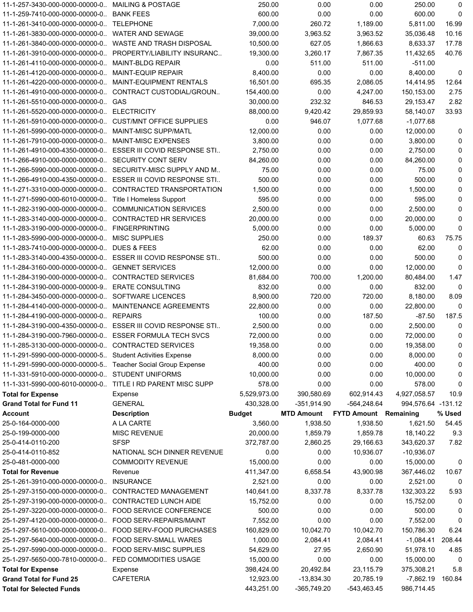|                                                                   | 11-1-257-3430-000-0000-00000-0 MAILING & POSTAGE             | 250.00                  | 0.00                      | 0.00                         | 250.00                  | 0            |
|-------------------------------------------------------------------|--------------------------------------------------------------|-------------------------|---------------------------|------------------------------|-------------------------|--------------|
| 11-1-259-7410-000-0000-00000-0. BANK FEES                         |                                                              | 600.00                  | 0.00                      | 0.00                         | 600.00                  | 0            |
| 11-1-261-3410-000-0000-00000-0. TELEPHONE                         |                                                              | 7.000.00                | 260.72                    | 1,189.00                     | 5,811.00                | 16.99        |
| 11-1-261-3830-000-0000-00000-0 WATER AND SEWAGE                   |                                                              | 39,000.00               | 3,963.52                  | 3,963.52                     | 35,036.48               | 10.16        |
| 11-1-261-3840-000-0000-00000-0 WASTE AND TRASH DISPOSAL           |                                                              | 10,500.00               | 627.05                    | 1,866.63                     | 8.633.37                | 17.78        |
|                                                                   | 11-1-261-3910-000-0000-00000-0. PROPERTY/LIABILITY INSURANC. | 19,300.00               | 3.260.17                  | 7,867.35                     | 11,432.65               | 40.76        |
| 11-1-261-4110-000-0000-00000-0 MAINT-BLDG REPAIR                  |                                                              | 0.00                    | 511.00                    | 511.00                       | $-511.00$               |              |
| 11-1-261-4120-000-0000-00000-0 MAINT-EQUIP REPAIR                 |                                                              | 8,400.00                | 0.00                      | 0.00                         | 8,400.00                | 0            |
| 11-1-261-4220-000-0000-00000-0 MAINT-EQUIPMENT RENTALS            |                                                              | 16,501.00               | 695.35                    | 2,086.05                     | 14,414.95               | 12.64        |
|                                                                   | 11-1-261-4910-000-0000-00000-0. CONTRACT CUSTODIAL/GROUN     | 154,400.00              | 0.00                      | 4,247.00                     | 150,153.00              | 2.75         |
| 11-1-261-5510-000-0000-00000-0. GAS                               |                                                              | 30,000.00               | 232.32                    | 846.53                       | 29,153.47               | 2.82         |
| 11-1-261-5520-000-0000-00000-0 ELECTRICITY                        |                                                              | 88,000.00               | 9,420.42                  | 29,859.93                    | 58,140.07               | 33.93        |
| 11-1-261-5910-000-0000-00000-0. CUST/MNT OFFICE SUPPLIES          |                                                              | 0.00                    | 946.07                    | 1,077.68                     | -1,077.68               |              |
| 11-1-261-5990-000-0000-00000-0 MAINT-MISC SUPP/MATL               |                                                              | 12,000.00               | 0.00                      | 0.00                         | 12,000.00               | 0            |
| 11-1-261-7910-000-0000-00000-0 MAINT-MISC EXPENSES                |                                                              | 3,800.00                | 0.00                      | 0.00                         | 3,800.00                | $\mathbf 0$  |
|                                                                   | 11-1-261-4910-000-4350-00000-0. ESSER III COVID RESPONSE STI | 2,750.00                | 0.00                      | 0.00                         | 2,750.00                | $\mathbf 0$  |
| 11-1-266-4910-000-0000-00000-0 SECURITY CONT SERV                 |                                                              | 84,260.00               | 0.00                      | 0.00                         | 84,260.00               | $\mathbf 0$  |
|                                                                   | 11-1-266-5990-000-0000-00000-0. SECURITY-MISC SUPPLY AND M.  | 75.00                   | 0.00                      | 0.00                         | 75.00                   | 0            |
|                                                                   | 11-1-266-4910-000-4350-00000-0. ESSER III COVID RESPONSE STI | 500.00                  | 0.00                      | 0.00                         | 500.00                  | $\mathbf 0$  |
|                                                                   | 11-1-271-3310-000-0000-00000-0. CONTRACTED TRANSPORTATION    | 1,500.00                | 0.00                      | 0.00                         | 1,500.00                | 0            |
| 11-1-271-5990-000-6010-00000-0. Title I Homeless Support          |                                                              | 595.00                  | 0.00                      | 0.00                         | 595.00                  | 0            |
| 11-1-282-3190-000-0000-00000-0 COMMUNICATION SERVICES             |                                                              | 2,500.00                | 0.00                      | 0.00                         | 2,500.00                | $\mathbf 0$  |
| 11-1-283-3140-000-0000-00000-0 CONTRACTED HR SERVICES             |                                                              | 20,000.00               | 0.00                      | 0.00                         | 20,000.00               | 0            |
| 11-1-283-3190-000-0000-00000-0 FINGERPRINTING                     |                                                              | 5,000.00                | 0.00                      | 0.00                         | 5,000.00                | $\mathbf{0}$ |
| 11-1-283-5990-000-0000-00000-0 MISC SUPPLIES                      |                                                              | 250.00                  | 0.00                      | 189.37                       | 60.63                   | 75.75        |
| 11-1-283-7410-000-0000-00000-0 DUES & FEES                        |                                                              | 62.00                   | 0.00                      | 0.00                         | 62.00                   | 0            |
|                                                                   | 11-1-283-3140-000-4350-00000-0. ESSER III COVID RESPONSE STI | 500.00                  | 0.00                      | 0.00                         | 500.00                  | 0            |
| 11-1-284-3160-000-0000-00000-0 GENNET SERVICES                    |                                                              | 12,000.00               | 0.00                      | 0.00                         | 12,000.00               | $\mathbf{0}$ |
| 11-1-284-3190-000-0000-00000-0 CONTRACTED SERVICES                |                                                              | 81,684.00               | 700.00                    | 1,200.00                     | 80,484.00               | 1.47         |
| 11-1-284-3190-000-0000-00000-9. ERATE CONSULTING                  |                                                              | 832.00                  | 0.00                      | 0.00                         | 832.00                  | 0            |
| 11-1-284-3450-000-0000-00000-0. SOFTWARE LICENCES                 |                                                              | 8,900.00                | 720.00                    | 720.00                       | 8,180.00                | 8.09         |
| 11-1-284-4140-000-0000-00000-0 MAINTENANCE AGREEMENTS             |                                                              | 22,800.00               | 0.00                      | 0.00                         | 22,800.00               | 0            |
| 11-1-284-4190-000-0000-00000-0. REPAIRS                           |                                                              | 100.00                  | 0.00                      | 187.50                       | $-87.50$                | 187.5        |
|                                                                   | 11-1-284-3190-000-4350-00000-0. ESSER III COVID RESPONSE STI | 2,500.00                | 0.00                      | 0.00                         | 2,500.00                | 0            |
| 11-1-284-3190-000-7960-00000-0. ESSER FORMULA TECH SVCS           |                                                              | 72,000.00               | 0.00                      | 0.00                         | 72,000.00               | $\mathbf{0}$ |
| 11-1-285-3130-000-0000-00000-0 CONTRACTED SERVICES                |                                                              |                         |                           |                              | 19,358.00               | $\Omega$     |
|                                                                   |                                                              | 19,358.00               | 0.00                      | 0.00                         |                         |              |
|                                                                   |                                                              |                         |                           |                              |                         |              |
| 11-1-291-5990-000-0000-00000-5 Student Activities Expense         |                                                              | 8,000.00                | 0.00                      | 0.00                         | 8,000.00                | 0            |
| 11-1-291-5990-000-0000-00000-5 Teacher Social Group Expense       |                                                              | 400.00                  | 0.00                      | 0.00                         | 400.00                  | 0            |
| 11-1-331-5910-000-0000-00000-0 STUDENT UNIFORMS                   |                                                              | 10,000.00               | 0.00                      | 0.00                         | 10,000.00               | 0            |
| 11-1-331-5990-000-6010-00000-0. TITLE I RD PARENT MISC SUPP       |                                                              | 578.00                  | 0.00                      | 0.00                         | 578.00                  | 0            |
| <b>Total for Expense</b>                                          | Expense                                                      | 5,529,973.00            | 390,580.69                | 602,914.43                   | 4,927,058.57            | 10.9         |
| <b>Grand Total for Fund 11</b>                                    | <b>GENERAL</b>                                               | 430,328.00              | $-351,914.90$             | -564,248.64                  | 994,576.64 -131.12      |              |
| <b>Account</b>                                                    | <b>Description</b>                                           | <b>Budget</b>           | <b>MTD Amount</b>         | <b>FYTD Amount Remaining</b> |                         | % Used       |
| 25-0-164-0000-000                                                 | A LA CARTE                                                   | 3,560.00                | 1,938.50                  | 1,938.50                     | 1,621.50                | 54.45        |
| 25-0-199-0000-000                                                 | <b>MISC REVENUE</b>                                          | 20,000.00               | 1,859.79                  | 1,859.78                     | 18,140.22               | 9.3          |
| 25-0-414-0110-200                                                 | SFSP                                                         | 372,787.00              | 2,860.25                  | 29,166.63                    | 343,620.37              | 7.82         |
| 25-0-414-0110-852                                                 | NATIONAL SCH DINNER REVENUE                                  | 0.00                    | 0.00                      | 10,936.07                    | $-10,936.07$            |              |
| 25-0-481-0000-000                                                 | <b>COMMODITY REVENUE</b>                                     | 15,000.00               | 0.00                      | 0.00                         | 15,000.00               | 0            |
| <b>Total for Revenue</b>                                          | Revenue                                                      | 411,347.00              | 6,658.54                  | 43,900.98                    | 367,446.02              | 10.67        |
| 25-1-261-3910-000-0000-00000-0 INSURANCE                          |                                                              | 2,521.00                | 0.00                      | 0.00                         | 2,521.00                | 0            |
| 25-1-297-3150-000-0000-00000-0. CONTRACTED MANAGEMENT             |                                                              | 140,641.00              | 8,337.78                  | 8,337.78                     | 132,303.22              | 5.93         |
| 25-1-297-3190-000-0000-00000-0 CONTRACTED LUNCH AIDE              |                                                              | 15,752.00               | 0.00                      | 0.00                         | 15,752.00               | 0            |
| 25-1-297-3220-000-0000-00000-0. FOOD SERVICE CONFERENCE           |                                                              | 500.00                  | 0.00                      | 0.00                         | 500.00                  | 0            |
| 25-1-297-4120-000-0000-00000-0 FOOD SERV-REPAIRS/MAINT            |                                                              | 7,552.00                | 0.00                      | 0.00                         | 7,552.00                | 0            |
|                                                                   | 25-1-297-5610-000-0000-00000-0 FOOD SERV-FOOD PURCHASES      | 160,829.00              | 10,042.70                 | 10,042.70                    | 150,786.30              | 6.24         |
| 25-1-297-5640-000-0000-00000-0. FOOD SERV-SMALL WARES             |                                                              | 1,000.00                | 2,084.41                  | 2,084.41                     | -1,084.41               | 208.44       |
| 25-1-297-5990-000-0000-00000-0 FOOD SERV-MISC SUPPLIES            |                                                              | 54,629.00               | 27.95                     | 2,650.90                     | 51,978.10               | 4.85         |
| 25-1-297-5650-000-7810-00000-0. FED COMMODITIES USAGE             |                                                              | 15,000.00               | 0.00                      | 0.00                         | 15,000.00               | 0            |
| <b>Total for Expense</b>                                          | Expense                                                      | 398,424.00              | 20,492.84                 | 23,115.79                    | 375,308.21              | 5.8          |
| <b>Grand Total for Fund 25</b><br><b>Total for Selected Funds</b> | <b>CAFETERIA</b>                                             | 12,923.00<br>443,251.00 | -13,834.30<br>-365,749.20 | 20,785.19<br>-543,463.45     | -7,862.19<br>986,714.45 | 160.84       |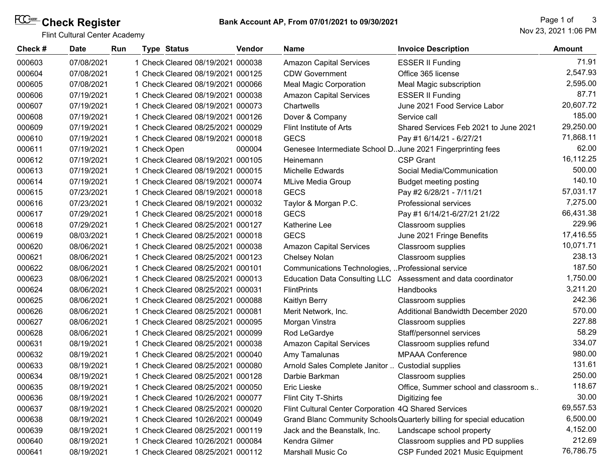# **Check Register**

Flint Cultural Center Academy

| Check # | <b>Date</b> | <b>Run</b> |              | <b>Type Status</b>                | <b>Vendor</b> | <b>Name</b>                                                  | <b>Invoice Description</b>                                            | <b>Amount</b> |
|---------|-------------|------------|--------------|-----------------------------------|---------------|--------------------------------------------------------------|-----------------------------------------------------------------------|---------------|
| 000603  | 07/08/2021  |            |              | 1 Check Cleared 08/19/2021 000038 |               | <b>Amazon Capital Services</b>                               | <b>ESSER II Funding</b>                                               | 71.91         |
| 000604  | 07/08/2021  |            |              | 1 Check Cleared 08/19/2021 000125 |               | <b>CDW Government</b>                                        | Office 365 license                                                    | 2,547.93      |
| 000605  | 07/08/2021  |            |              | 1 Check Cleared 08/19/2021 000066 |               | <b>Meal Magic Corporation</b>                                | Meal Magic subscription                                               | 2,595.00      |
| 000606  | 07/19/2021  |            |              | 1 Check Cleared 08/19/2021 000038 |               | <b>Amazon Capital Services</b>                               | <b>ESSER II Funding</b>                                               | 87.71         |
| 000607  | 07/19/2021  |            |              | 1 Check Cleared 08/19/2021 000073 |               | Chartwells                                                   | June 2021 Food Service Labor                                          | 20,607.72     |
| 000608  | 07/19/2021  |            |              | 1 Check Cleared 08/19/2021 000126 |               | Dover & Company                                              | Service call                                                          | 185.00        |
| 000609  | 07/19/2021  |            |              | 1 Check Cleared 08/25/2021 000029 |               | Flint Institute of Arts                                      | Shared Services Feb 2021 to June 2021                                 | 29,250.00     |
| 000610  | 07/19/2021  |            |              | 1 Check Cleared 08/19/2021 000018 |               | <b>GECS</b>                                                  | Pay #1 6/14/21 - 6/27/21                                              | 71,868.11     |
| 000611  | 07/19/2021  |            | 1 Check Open |                                   | 000004        | Genesee Intermediate School D. June 2021 Fingerprinting fees |                                                                       | 62.00         |
| 000612  | 07/19/2021  |            |              | 1 Check Cleared 08/19/2021 000105 |               | Heinemann                                                    | <b>CSP Grant</b>                                                      | 16,112.25     |
| 000613  | 07/19/2021  |            |              | 1 Check Cleared 08/19/2021 000015 |               | Michelle Edwards                                             | Social Media/Communication                                            | 500.00        |
| 000614  | 07/19/2021  |            |              | 1 Check Cleared 08/19/2021 000074 |               | <b>MLive Media Group</b>                                     | <b>Budget meeting posting</b>                                         | 140.10        |
| 000615  | 07/23/2021  |            |              | 1 Check Cleared 08/19/2021 000018 |               | <b>GECS</b>                                                  | Pay #2 6/28/21 - 7/11/21                                              | 57,031.17     |
| 000616  | 07/23/2021  |            |              | 1 Check Cleared 08/19/2021 000032 |               | Taylor & Morgan P.C.                                         | Professional services                                                 | 7,275.00      |
| 000617  | 07/29/2021  |            |              | 1 Check Cleared 08/25/2021 000018 |               | <b>GECS</b>                                                  | Pay #1 6/14/21-6/27/21 21/22                                          | 66,431.38     |
| 000618  | 07/29/2021  |            |              | 1 Check Cleared 08/25/2021 000127 |               | Katherine Lee                                                | Classroom supplies                                                    | 229.96        |
| 000619  | 08/03/2021  |            |              | 1 Check Cleared 08/25/2021 000018 |               | <b>GECS</b>                                                  | June 2021 Fringe Benefits                                             | 17,416.55     |
| 000620  | 08/06/2021  |            |              | 1 Check Cleared 08/25/2021 000038 |               | <b>Amazon Capital Services</b>                               | Classroom supplies                                                    | 10,071.71     |
| 000621  | 08/06/2021  |            |              | 1 Check Cleared 08/25/2021 000123 |               | <b>Chelsey Nolan</b>                                         | Classroom supplies                                                    | 238.13        |
| 000622  | 08/06/2021  |            |              | 1 Check Cleared 08/25/2021 000101 |               | Communications Technologies,  Professional service           |                                                                       | 187.50        |
| 000623  | 08/06/2021  |            |              | 1 Check Cleared 08/25/2021 000013 |               |                                                              | Education Data Consulting LLC Assessment and data coordinator         | 1,750.00      |
| 000624  | 08/06/2021  |            |              | 1 Check Cleared 08/25/2021 000031 |               | <b>FlintPrints</b>                                           | Handbooks                                                             | 3,211.20      |
| 000625  | 08/06/2021  |            |              | 1 Check Cleared 08/25/2021 000088 |               | Kaitlyn Berry                                                | Classroom supplies                                                    | 242.36        |
| 000626  | 08/06/2021  |            |              | 1 Check Cleared 08/25/2021 000081 |               | Merit Network, Inc.                                          | Additional Bandwidth December 2020                                    | 570.00        |
| 000627  | 08/06/2021  |            |              | 1 Check Cleared 08/25/2021 000095 |               | Morgan Vinstra                                               | Classroom supplies                                                    | 227.88        |
| 000628  | 08/06/2021  |            |              | 1 Check Cleared 08/25/2021 000099 |               | Rod LeGardye                                                 | Staff/personnel services                                              | 58.29         |
| 000631  | 08/19/2021  |            |              | 1 Check Cleared 08/25/2021 000038 |               | <b>Amazon Capital Services</b>                               | Classroom supplies refund                                             | 334.07        |
| 000632  | 08/19/2021  |            |              | 1 Check Cleared 08/25/2021 000040 |               | Amy Tamalunas                                                | <b>MPAAA Conference</b>                                               | 980.00        |
| 000633  | 08/19/2021  |            |              | 1 Check Cleared 08/25/2021 000080 |               | Arnold Sales Complete Janitor  Custodial supplies            |                                                                       | 131.61        |
| 000634  | 08/19/2021  |            |              | 1 Check Cleared 08/25/2021 000128 |               | Darbie Barkman                                               | Classroom supplies                                                    | 250.00        |
| 000635  | 08/19/2021  |            |              | 1 Check Cleared 08/25/2021 000050 |               | Eric Lieske                                                  | Office, Summer school and classroom s.                                | 118.67        |
| 000636  | 08/19/2021  |            |              | 1 Check Cleared 10/26/2021 000077 |               | Flint City T-Shirts                                          | Digitizing fee                                                        | 30.00         |
| 000637  | 08/19/2021  |            |              | 1 Check Cleared 08/25/2021 000020 |               | Flint Cultural Center Corporation 4Q Shared Services         |                                                                       | 69,557.53     |
| 000638  | 08/19/2021  |            |              | 1 Check Cleared 10/26/2021 000049 |               |                                                              | Grand Blanc Community Schools Quarterly billing for special education | 6,500.00      |
| 000639  | 08/19/2021  |            |              | 1 Check Cleared 08/25/2021 000119 |               | Jack and the Beanstalk, Inc.                                 | Landscape school property                                             | 4,152.00      |
| 000640  | 08/19/2021  |            |              | 1 Check Cleared 10/26/2021 000084 |               | Kendra Gilmer                                                | Classroom supplies and PD supplies                                    | 212.69        |
| 000641  | 08/19/2021  |            |              | 1 Check Cleared 08/25/2021 000112 |               | Marshall Music Co                                            | CSP Funded 2021 Music Equipment                                       | 76,786.75     |
|         |             |            |              |                                   |               |                                                              |                                                                       |               |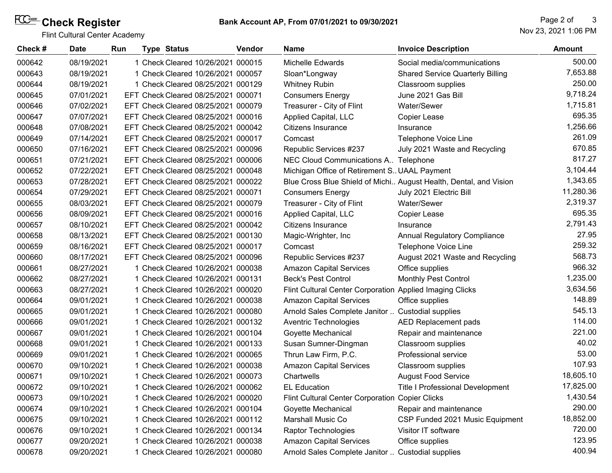# **Check Register**

Flint Cultural Center Academy

Nov 23, 2021 1:06 PM Page 2 of 3

| Check # | <b>Date</b> | Run | <b>Type Status</b>                  | Vendor | <b>Name</b>                                              | <b>Invoice Description</b>                                        | Amount    |
|---------|-------------|-----|-------------------------------------|--------|----------------------------------------------------------|-------------------------------------------------------------------|-----------|
| 000642  | 08/19/2021  |     | 1 Check Cleared 10/26/2021 000015   |        | <b>Michelle Edwards</b>                                  | Social media/communications                                       | 500.00    |
| 000643  | 08/19/2021  |     | 1 Check Cleared 10/26/2021 000057   |        | Sloan*Longway                                            | <b>Shared Service Quarterly Billing</b>                           | 7,653.88  |
| 000644  | 08/19/2021  |     | 1 Check Cleared 08/25/2021 000129   |        | <b>Whitney Rubin</b>                                     | Classroom supplies                                                | 250.00    |
| 000645  | 07/01/2021  |     | EFT Check Cleared 08/25/2021 000071 |        | <b>Consumers Energy</b>                                  | June 2021 Gas Bill                                                | 9,718.24  |
| 000646  | 07/02/2021  |     | EFT Check Cleared 08/25/2021 000079 |        | Treasurer - City of Flint                                | Water/Sewer                                                       | 1,715.81  |
| 000647  | 07/07/2021  |     | EFT Check Cleared 08/25/2021 000016 |        | Applied Capital, LLC                                     | Copier Lease                                                      | 695.35    |
| 000648  | 07/08/2021  |     | EFT Check Cleared 08/25/2021 000042 |        | Citizens Insurance                                       | Insurance                                                         | 1,256.66  |
| 000649  | 07/14/2021  |     | EFT Check Cleared 08/25/2021 000017 |        | Comcast                                                  | Telephone Voice Line                                              | 261.09    |
| 000650  | 07/16/2021  |     | EFT Check Cleared 08/25/2021 000096 |        | Republic Services #237                                   | July 2021 Waste and Recycling                                     | 670.85    |
| 000651  | 07/21/2021  |     | EFT Check Cleared 08/25/2021 000006 |        | NEC Cloud Communications A Telephone                     |                                                                   | 817.27    |
| 000652  | 07/22/2021  |     | EFT Check Cleared 08/25/2021 000048 |        | Michigan Office of Retirement S. UAAL Payment            |                                                                   | 3,104.44  |
| 000653  | 07/28/2021  |     | EFT Check Cleared 08/25/2021 000022 |        |                                                          | Blue Cross Blue Shield of Michi August Health, Dental, and Vision | 1,343.65  |
| 000654  | 07/29/2021  |     | EFT Check Cleared 08/25/2021 000071 |        | <b>Consumers Energy</b>                                  | July 2021 Electric Bill                                           | 11,280.36 |
| 000655  | 08/03/2021  |     | EFT Check Cleared 08/25/2021 000079 |        | Treasurer - City of Flint                                | Water/Sewer                                                       | 2,319.37  |
| 000656  | 08/09/2021  |     | EFT Check Cleared 08/25/2021 000016 |        | Applied Capital, LLC                                     | <b>Copier Lease</b>                                               | 695.35    |
| 000657  | 08/10/2021  |     | EFT Check Cleared 08/25/2021 000042 |        | Citizens Insurance                                       | Insurance                                                         | 2,791.43  |
| 000658  | 08/13/2021  |     | EFT Check Cleared 08/25/2021 000130 |        | Magic-Wrighter, Inc                                      | Annual Regulatory Compliance                                      | 27.95     |
| 000659  | 08/16/2021  |     | EFT Check Cleared 08/25/2021 000017 |        | Comcast                                                  | Telephone Voice Line                                              | 259.32    |
| 000660  | 08/17/2021  |     | EFT Check Cleared 08/25/2021 000096 |        | Republic Services #237                                   | August 2021 Waste and Recycling                                   | 568.73    |
| 000661  | 08/27/2021  |     | 1 Check Cleared 10/26/2021 000038   |        | <b>Amazon Capital Services</b>                           | Office supplies                                                   | 966.32    |
| 000662  | 08/27/2021  |     | 1 Check Cleared 10/26/2021 000131   |        | <b>Beck's Pest Control</b>                               | <b>Monthly Pest Control</b>                                       | 1,235.00  |
| 000663  | 08/27/2021  |     | 1 Check Cleared 10/26/2021 000020   |        | Flint Cultural Center Corporation Applied Imaging Clicks |                                                                   | 3,634.56  |
| 000664  | 09/01/2021  |     | 1 Check Cleared 10/26/2021 000038   |        | <b>Amazon Capital Services</b>                           | Office supplies                                                   | 148.89    |
| 000665  | 09/01/2021  |     | 1 Check Cleared 10/26/2021 000080   |        | Arnold Sales Complete Janitor                            | <b>Custodial supplies</b>                                         | 545.13    |
| 000666  | 09/01/2021  |     | 1 Check Cleared 10/26/2021 000132   |        | Aventric Technologies                                    | AED Replacement pads                                              | 114.00    |
| 000667  | 09/01/2021  |     | 1 Check Cleared 10/26/2021 000104   |        | Goyette Mechanical                                       | Repair and maintenance                                            | 221.00    |
| 000668  | 09/01/2021  |     | 1 Check Cleared 10/26/2021 000133   |        | Susan Sumner-Dingman                                     | Classroom supplies                                                | 40.02     |
| 000669  | 09/01/2021  |     | 1 Check Cleared 10/26/2021 000065   |        | Thrun Law Firm, P.C.                                     | Professional service                                              | 53.00     |
| 000670  | 09/10/2021  |     | 1 Check Cleared 10/26/2021 000038   |        | <b>Amazon Capital Services</b>                           | Classroom supplies                                                | 107.93    |
| 000671  | 09/10/2021  |     | 1 Check Cleared 10/26/2021 000073   |        | Chartwells                                               | <b>August Food Service</b>                                        | 18,605.10 |
| 000672  | 09/10/2021  |     | 1 Check Cleared 10/26/2021 000062   |        | <b>EL Education</b>                                      | <b>Title I Professional Development</b>                           | 17,825.00 |
| 000673  | 09/10/2021  |     | 1 Check Cleared 10/26/2021 000020   |        | Flint Cultural Center Corporation Copier Clicks          |                                                                   | 1,430.54  |
| 000674  | 09/10/2021  |     | 1 Check Cleared 10/26/2021 000104   |        | Goyette Mechanical                                       | Repair and maintenance                                            | 290.00    |
| 000675  | 09/10/2021  |     | 1 Check Cleared 10/26/2021 000112   |        | <b>Marshall Music Co</b>                                 | CSP Funded 2021 Music Equipment                                   | 18,852.00 |
| 000676  | 09/10/2021  |     | 1 Check Cleared 10/26/2021 000134   |        | <b>Raptor Technologies</b>                               | Visitor IT software                                               | 720.00    |
| 000677  | 09/20/2021  |     | 1 Check Cleared 10/26/2021 000038   |        | <b>Amazon Capital Services</b>                           | Office supplies                                                   | 123.95    |
| 000678  | 09/20/2021  |     | 1 Check Cleared 10/26/2021 000080   |        | Arnold Sales Complete Janitor  Custodial supplies        |                                                                   | 400.94    |